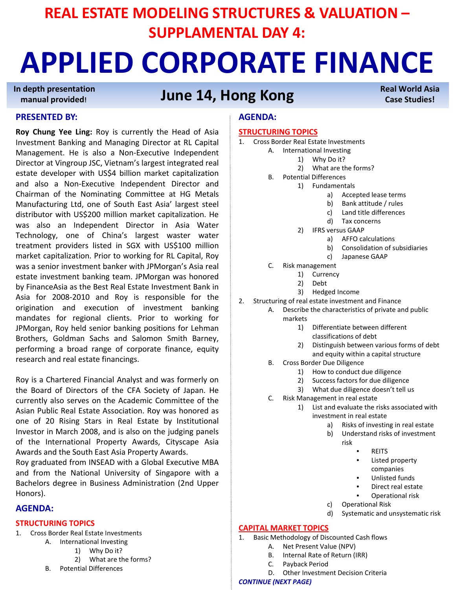# **REAL ESTATE MODELING STRUCTURES & VALUATION – SUPPLAMENTAL DAY 4:**

# **APPLIED CORPORATE FINANCE**

**In depth presentation manual provided!**

# **June 14, Hong Kong**

## **PRESENTED BY:**

**Roy Chung Yee Ling:** Roy is currently the Head of Asia Investment Banking and Managing Director at RL Capital Management. He is also a Non‐Executive Independent Director at Vingroup JSC, Vietnam's largest integrated real estate developer with US\$4 billion market capitalization and also a Non‐Executive Independent Director and Chairman of the Nominating Committee at HG Metals Manufacturing Ltd, one of South East Asia' largest steel distributor with US\$200 million market capitalization. He was also an Independent Director in Asia Water Technology, one of China's largest waster water treatment providers listed in SGX with US\$100 million market capitalization. Prior to working for RL Capital, Roy was a senior investment banker with JPMorgan's Asia real estate investment banking team. JPMorgan was honored by FinanceAsia as the Best Real Estate Investment Bank in Asia for 2008‐2010 and Roy is responsible for the origination and execution of investment banking mandates for regional clients. Prior to working for JPMorgan, Roy held senior banking positions for Lehman Brothers, Goldman Sachs and Salomon Smith Barney, performing a broad range of corporate finance, equity research and real estate financings.

Roy is a Chartered Financial Analyst and was formerly on the Board of Directors of the CFA Society of Japan. He currently also serves on the Academic Committee of the Asian Public Real Estate Association. Roy was honored as one of 20 Rising Stars in Real Estate by Institutional Investor in March 2008, and is also on the judging panels of the International Property Awards, Cityscape Asia Awards and the South East Asia Property Awards.

Roy graduated from INSEAD with a Global Executive MBA and from the National University of Singapore with a Bachelors degree in Business Administration (2nd Upper Honors).

# **AGENDA:**

## **STRUCTURING TOPICS**

- 1. Cross Border Real Estate Investments
	- A. International Investing
		- 1) Why Do it?
		- 2) What are the forms?
	- B. Potential Differences

# **AGENDA:**

## **STRUCTURING TOPICS**

- 1. Cross Border Real Estate Investments
	- A. International Investing
		- 1) Why Do it?
		- 2) What are the forms?
		- B. Potential Differences
			- 1) Fundamentals
				- a) Accepted lease terms
				- b) Bank attitude / rules
				- c) Land title differences
				- d) Tax concerns
				- 2) IFRS versus GAAP
					- a) AFFO calculations
					- b) Consolidation of subsidiaries

**Real World Asia Case Studies!**

- c) Japanese GAAP
- C. Risk management
	- 1) Currency
	- 2) Debt
	- 3) Hedged Income
- 2. Structuring of real estate investment and Finance
	- A. Describe the characteristics of private and public markets
		- 1) Differentiate between different classifications of debt
		- 2) Distinguish between various forms of debt and equity within a capital structure
	- B. Cross Border Due Diligence
		- 1) How to conduct due diligence
		- 2) Success factors for due diligence
		- 3) What due diligence doesn't tell us
	- C. Risk Management in real estate
		- 1) List and evaluate the risks associated with investment in real estate
			- a) Risks of investing in real estate
			- b) Understand risks of investment risk
				-
				- REITS
				- Listed property companies
				- Unlisted funds
				- Direct real estate
				- Operational risk
				- c) Operational Risk
			- d) Systematic and unsystematic risk

# **CAPITAL MARKET TOPICS**

- 1. Basic Methodology of Discounted Cash flows
	- A. Net Present Value (NPV)
		- B. Internal Rate of Return (IRR)
	- C. Payback Period
	- D. Other Investment Decision Criteria

*CONTINUE (NEXT PAGE)*